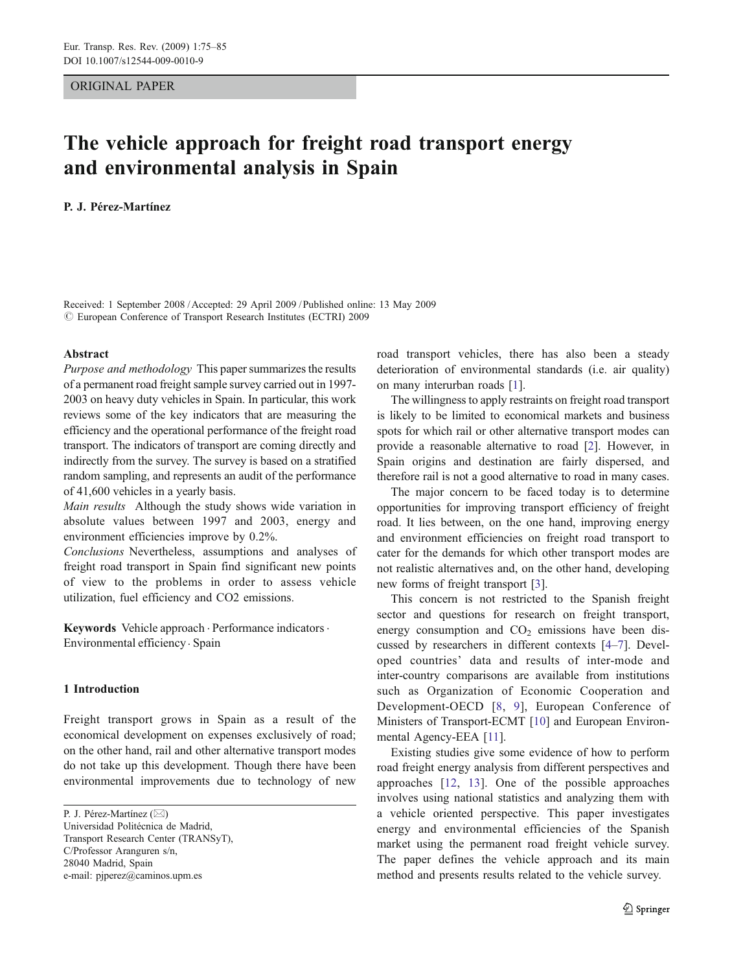ORIGINAL PAPER

# The vehicle approach for freight road transport energy and environmental analysis in Spain

## P. J. Pérez-Martínez

Received: 1 September 2008 /Accepted: 29 April 2009 / Published online: 13 May 2009  $\odot$  European Conference of Transport Research Institutes (ECTRI) 2009

#### Abstract

Purpose and methodology This paper summarizes the results of a permanent road freight sample survey carried out in 1997- 2003 on heavy duty vehicles in Spain. In particular, this work reviews some of the key indicators that are measuring the efficiency and the operational performance of the freight road transport. The indicators of transport are coming directly and indirectly from the survey. The survey is based on a stratified random sampling, and represents an audit of the performance of 41,600 vehicles in a yearly basis.

Main results Although the study shows wide variation in absolute values between 1997 and 2003, energy and environment efficiencies improve by 0.2%.

Conclusions Nevertheless, assumptions and analyses of freight road transport in Spain find significant new points of view to the problems in order to assess vehicle utilization, fuel efficiency and CO2 emissions.

Keywords Vehicle approach . Performance indicators. Environmental efficiency . Spain

#### 1 Introduction

Freight transport grows in Spain as a result of the economical development on expenses exclusively of road; on the other hand, rail and other alternative transport modes do not take up this development. Though there have been environmental improvements due to technology of new

road transport vehicles, there has also been a steady deterioration of environmental standards (i.e. air quality) on many interurban roads [\[1](#page-9-0)].

The willingness to apply restraints on freight road transport is likely to be limited to economical markets and business spots for which rail or other alternative transport modes can provide a reasonable alternative to road [[2](#page-9-0)]. However, in Spain origins and destination are fairly dispersed, and therefore rail is not a good alternative to road in many cases.

The major concern to be faced today is to determine opportunities for improving transport efficiency of freight road. It lies between, on the one hand, improving energy and environment efficiencies on freight road transport to cater for the demands for which other transport modes are not realistic alternatives and, on the other hand, developing new forms of freight transport [\[3](#page-9-0)].

This concern is not restricted to the Spanish freight sector and questions for research on freight transport, energy consumption and  $CO<sub>2</sub>$  emissions have been discussed by researchers in different contexts [[4](#page-9-0)–[7\]](#page-9-0). Developed countries' data and results of inter-mode and inter-country comparisons are available from institutions such as Organization of Economic Cooperation and Development-OECD [[8](#page-9-0), [9](#page-9-0)], European Conference of Ministers of Transport-ECMT [\[10](#page-9-0)] and European Environmental Agency-EEA [[11](#page-9-0)].

Existing studies give some evidence of how to perform road freight energy analysis from different perspectives and approaches [[12](#page-9-0), [13](#page-9-0)]. One of the possible approaches involves using national statistics and analyzing them with a vehicle oriented perspective. This paper investigates energy and environmental efficiencies of the Spanish market using the permanent road freight vehicle survey. The paper defines the vehicle approach and its main method and presents results related to the vehicle survey.

P. J. Pérez-Martínez (*\**)

Universidad Politécnica de Madrid, Transport Research Center (TRANSyT), C/Professor Aranguren s/n, 28040 Madrid, Spain e-mail: pjperez@caminos.upm.es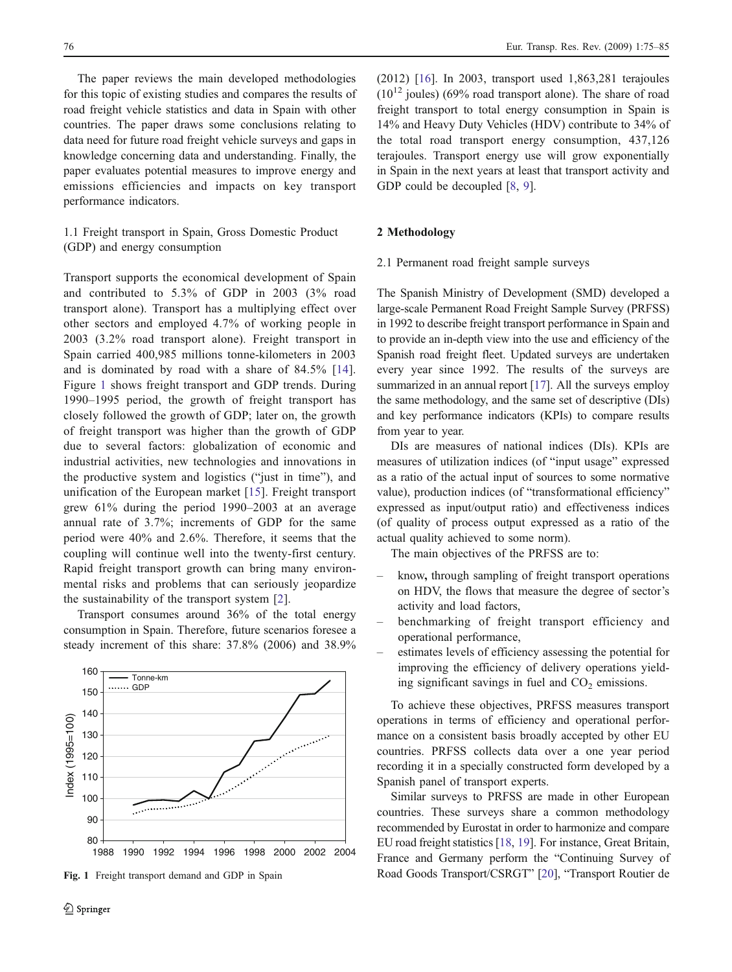The paper reviews the main developed methodologies for this topic of existing studies and compares the results of road freight vehicle statistics and data in Spain with other countries. The paper draws some conclusions relating to data need for future road freight vehicle surveys and gaps in knowledge concerning data and understanding. Finally, the paper evaluates potential measures to improve energy and emissions efficiencies and impacts on key transport performance indicators.

## 1.1 Freight transport in Spain, Gross Domestic Product (GDP) and energy consumption

Transport supports the economical development of Spain and contributed to 5.3% of GDP in 2003 (3% road transport alone). Transport has a multiplying effect over other sectors and employed 4.7% of working people in 2003 (3.2% road transport alone). Freight transport in Spain carried 400,985 millions tonne-kilometers in 2003 and is dominated by road with a share of 84.5% [[14\]](#page-9-0). Figure 1 shows freight transport and GDP trends. During 1990–1995 period, the growth of freight transport has closely followed the growth of GDP; later on, the growth of freight transport was higher than the growth of GDP due to several factors: globalization of economic and industrial activities, new technologies and innovations in the productive system and logistics ("just in time"), and unification of the European market [\[15](#page-9-0)]. Freight transport grew 61% during the period 1990–2003 at an average annual rate of 3.7%; increments of GDP for the same period were 40% and 2.6%. Therefore, it seems that the coupling will continue well into the twenty-first century. Rapid freight transport growth can bring many environmental risks and problems that can seriously jeopardize the sustainability of the transport system [[2\]](#page-9-0).

Transport consumes around 36% of the total energy consumption in Spain. Therefore, future scenarios foresee a steady increment of this share: 37.8% (2006) and 38.9%



Fig. 1 Freight transport demand and GDP in Spain

(2012) [[16\]](#page-9-0). In 2003, transport used 1,863,281 terajoules  $(10^{12}$  joules) (69% road transport alone). The share of road freight transport to total energy consumption in Spain is 14% and Heavy Duty Vehicles (HDV) contribute to 34% of the total road transport energy consumption, 437,126 terajoules. Transport energy use will grow exponentially in Spain in the next years at least that transport activity and GDP could be decoupled [\[8](#page-9-0), [9\]](#page-9-0).

#### 2 Methodology

### 2.1 Permanent road freight sample surveys

The Spanish Ministry of Development (SMD) developed a large-scale Permanent Road Freight Sample Survey (PRFSS) in 1992 to describe freight transport performance in Spain and to provide an in-depth view into the use and efficiency of the Spanish road freight fleet. Updated surveys are undertaken every year since 1992. The results of the surveys are summarized in an annual report [[17](#page-9-0)]. All the surveys employ the same methodology, and the same set of descriptive (DIs) and key performance indicators (KPIs) to compare results from year to year.

DIs are measures of national indices (DIs). KPIs are measures of utilization indices (of "input usage" expressed as a ratio of the actual input of sources to some normative value), production indices (of "transformational efficiency" expressed as input/output ratio) and effectiveness indices (of quality of process output expressed as a ratio of the actual quality achieved to some norm).

The main objectives of the PRFSS are to:

- know, through sampling of freight transport operations on HDV, the flows that measure the degree of sector's activity and load factors,
- benchmarking of freight transport efficiency and operational performance,
- estimates levels of efficiency assessing the potential for improving the efficiency of delivery operations yielding significant savings in fuel and  $CO<sub>2</sub>$  emissions.

To achieve these objectives, PRFSS measures transport operations in terms of efficiency and operational performance on a consistent basis broadly accepted by other EU countries. PRFSS collects data over a one year period recording it in a specially constructed form developed by a Spanish panel of transport experts.

Similar surveys to PRFSS are made in other European countries. These surveys share a common methodology recommended by Eurostat in order to harmonize and compare EU road freight statistics [\[18](#page-9-0), [19](#page-9-0)]. For instance, Great Britain, France and Germany perform the "Continuing Survey of Road Goods Transport/CSRGT" [[20\]](#page-9-0), "Transport Routier de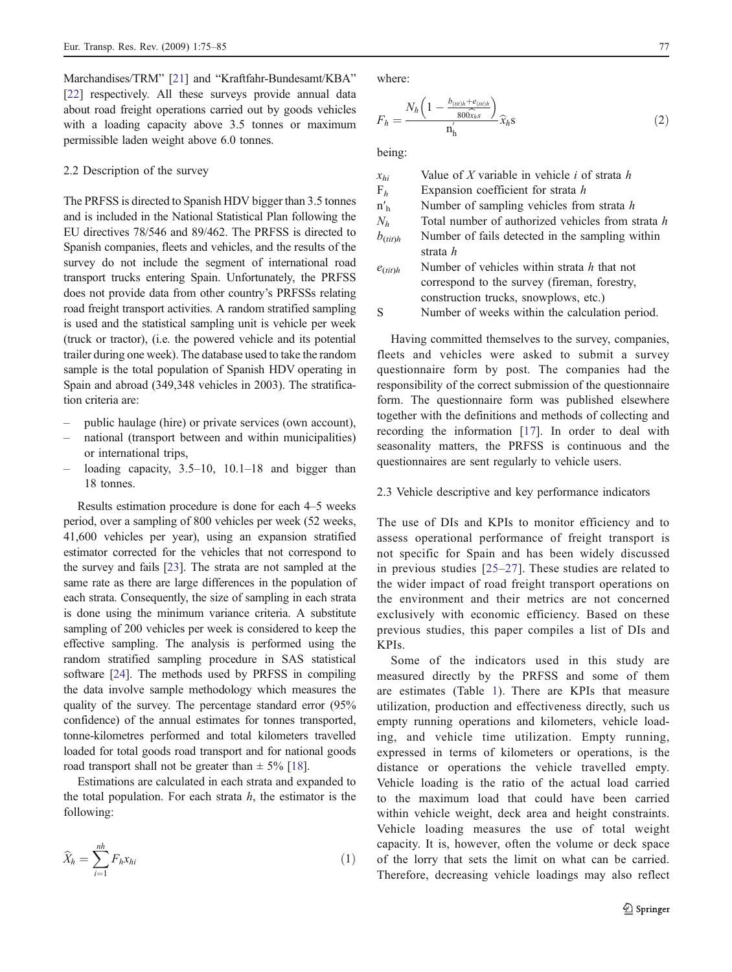Marchandises/TRM" [[21](#page-9-0)] and "Kraftfahr-Bundesamt/KBA" [[22\]](#page-9-0) respectively. All these surveys provide annual data about road freight operations carried out by goods vehicles with a loading capacity above 3.5 tonnes or maximum permissible laden weight above 6.0 tonnes.

#### 2.2 Description of the survey

The PRFSS is directed to Spanish HDV bigger than 3.5 tonnes and is included in the National Statistical Plan following the EU directives 78/546 and 89/462. The PRFSS is directed to Spanish companies, fleets and vehicles, and the results of the survey do not include the segment of international road transport trucks entering Spain. Unfortunately, the PRFSS does not provide data from other country's PRFSSs relating road freight transport activities. A random stratified sampling is used and the statistical sampling unit is vehicle per week (truck or tractor), (i.e. the powered vehicle and its potential trailer during one week). The database used to take the random sample is the total population of Spanish HDV operating in Spain and abroad (349,348 vehicles in 2003). The stratification criteria are:

- public haulage (hire) or private services (own account),
- national (transport between and within municipalities) or international trips,
- loading capacity,  $3.5-10$ ,  $10.1-18$  and bigger than 18 tonnes.

Results estimation procedure is done for each 4–5 weeks period, over a sampling of 800 vehicles per week (52 weeks, 41,600 vehicles per year), using an expansion stratified estimator corrected for the vehicles that not correspond to the survey and fails [\[23\]](#page-10-0). The strata are not sampled at the same rate as there are large differences in the population of each strata. Consequently, the size of sampling in each strata is done using the minimum variance criteria. A substitute sampling of 200 vehicles per week is considered to keep the effective sampling. The analysis is performed using the random stratified sampling procedure in SAS statistical software [\[24](#page-10-0)]. The methods used by PRFSS in compiling the data involve sample methodology which measures the quality of the survey. The percentage standard error (95% confidence) of the annual estimates for tonnes transported, tonne-kilometres performed and total kilometers travelled loaded for total goods road transport and for national goods road transport shall not be greater than  $\pm$  5% [[18\]](#page-9-0).

Estimations are calculated in each strata and expanded to the total population. For each strata  $h$ , the estimator is the

following:  
\n
$$
\widehat{X}_h = \sum_{i=1}^{nh} F_h x_{hi}
$$
\n(1)

where:

-

where:  
\n
$$
F_h = \frac{N_h \left(1 - \frac{b_{(ii)h} + e_{(ii)h}}{800 \hat{\chi}_h s}\right)}{n'_h} \hat{\chi}_h s}
$$
\n(2)

being:

| $x_{hi}$                 | Value of X variable in vehicle i of strata $h$    |
|--------------------------|---------------------------------------------------|
| $F_h$                    | Expansion coefficient for strata $h$              |
| $n'_h$                   | Number of sampling vehicles from strata $h$       |
| $N_h$                    | Total number of authorized vehicles from strata h |
| $b_{\text{(tit)h}}$      | Number of fails detected in the sampling within   |
|                          | strata <i>h</i>                                   |
| $e$ <sub>(tit)</sub> $h$ | Number of vehicles within strata h that not       |
|                          | correspond to the survey (fireman, forestry,      |
|                          | construction trucks, snowplows, etc.)             |
| S                        | Number of weeks within the calculation period.    |

Having committed themselves to the survey, companies, fleets and vehicles were asked to submit a survey questionnaire form by post. The companies had the responsibility of the correct submission of the questionnaire form. The questionnaire form was published elsewhere together with the definitions and methods of collecting and recording the information [\[17](#page-9-0)]. In order to deal with seasonality matters, the PRFSS is continuous and the questionnaires are sent regularly to vehicle users.

### 2.3 Vehicle descriptive and key performance indicators

The use of DIs and KPIs to monitor efficiency and to assess operational performance of freight transport is not specific for Spain and has been widely discussed in previous studies [[25](#page-10-0)–[27\]](#page-10-0). These studies are related to the wider impact of road freight transport operations on the environment and their metrics are not concerned exclusively with economic efficiency. Based on these previous studies, this paper compiles a list of DIs and KPIs.

Some of the indicators used in this study are measured directly by the PRFSS and some of them are estimates (Table [1](#page-3-0)). There are KPIs that measure utilization, production and effectiveness directly, such us empty running operations and kilometers, vehicle loading, and vehicle time utilization. Empty running, expressed in terms of kilometers or operations, is the distance or operations the vehicle travelled empty. Vehicle loading is the ratio of the actual load carried to the maximum load that could have been carried within vehicle weight, deck area and height constraints. Vehicle loading measures the use of total weight capacity. It is, however, often the volume or deck space of the lorry that sets the limit on what can be carried. Therefore, decreasing vehicle loadings may also reflect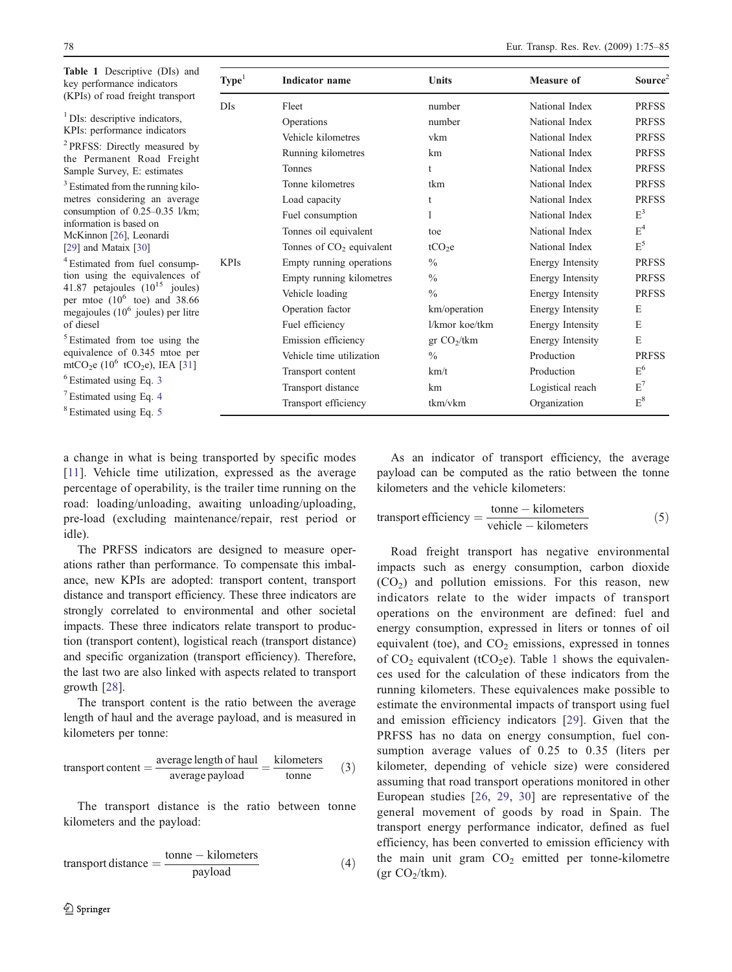<span id="page-3-0"></span>Table 1 Descriptive  $(DIs)$ key perfo  $(KPIs)$  of

| <b>Table 1</b> Descriptive (DIS) and<br>key performance indicators                                                                                        | Type <sup>1</sup> | <b>Indicator</b> name      | <b>Units</b>              | <b>Measure of</b> | Source $2$     |
|-----------------------------------------------------------------------------------------------------------------------------------------------------------|-------------------|----------------------------|---------------------------|-------------------|----------------|
| (KPIs) of road freight transport                                                                                                                          | <b>DIs</b>        | Fleet                      | number                    | National Index    | <b>PRFSS</b>   |
| <sup>1</sup> DIs: descriptive indicators,                                                                                                                 |                   | Operations                 | number                    | National Index    | <b>PRFSS</b>   |
| KPIs: performance indicators                                                                                                                              |                   | Vehicle kilometres         | vkm                       | National Index    | <b>PRFSS</b>   |
| <sup>2</sup> PRFSS: Directly measured by<br>the Permanent Road Freight<br>Sample Survey, E: estimates                                                     |                   | Running kilometres         | km                        | National Index    | <b>PRFSS</b>   |
|                                                                                                                                                           |                   | Tonnes                     |                           | National Index    | <b>PRFSS</b>   |
| <sup>3</sup> Estimated from the running kilo-                                                                                                             |                   | Tonne kilometres           | tkm                       | National Index    | <b>PRFSS</b>   |
| metres considering an average<br>consumption of $0.25-0.35$ l/km;<br>information is based on<br>McKinnon [26], Leonardi                                   |                   | Load capacity              |                           | National Index    | <b>PRFSS</b>   |
|                                                                                                                                                           |                   | Fuel consumption           |                           | National Index    | $E^3$          |
|                                                                                                                                                           |                   | Tonnes oil equivalent      | toe                       | National Index    | $E^4$          |
| [29] and Mataix $[30]$                                                                                                                                    |                   | Tonnes of $CO2$ equivalent | tCO <sub>2</sub> e        | National Index    | $E^5$          |
| <sup>4</sup> Estimated from fuel consump-                                                                                                                 | <b>KPIs</b>       | Empty running operations   | $\frac{0}{0}$             | Energy Intensity  | <b>PRFSS</b>   |
| tion using the equivalences of<br>41.87 petajoules $(10^{15}$ joules)<br>per mtoe $(10^6 \text{ toe})$ and 38.66<br>megajoules $(10^6)$ joules) per litre |                   | Empty running kilometres   | $\frac{0}{0}$             | Energy Intensity  | <b>PRFSS</b>   |
|                                                                                                                                                           |                   | Vehicle loading            | $\frac{0}{0}$             | Energy Intensity  | <b>PRFSS</b>   |
|                                                                                                                                                           |                   | Operation factor           | km/operation              | Energy Intensity  | Ε              |
| of diesel                                                                                                                                                 |                   | Fuel efficiency            | l/kmor koe/tkm            | Energy Intensity  | E              |
| <sup>5</sup> Estimated from toe using the                                                                                                                 |                   | Emission efficiency        | $gr$ CO <sub>2</sub> /tkm | Energy Intensity  | Ε              |
| equivalence of 0.345 mtoe per                                                                                                                             |                   | Vehicle time utilization   | $\frac{0}{0}$             | Production        | <b>PRFSS</b>   |
| mtCO <sub>2</sub> e (10 <sup>6</sup> tCO <sub>2</sub> e), IEA [31]                                                                                        |                   | Transport content          | km/t                      | Production        | E <sup>6</sup> |
| $6$ Estimated using Eq. 3                                                                                                                                 |                   | Transport distance         | km                        | Logistical reach  | $E^7$          |
| <sup>7</sup> Estimated using Eq. 4<br><sup>8</sup> Estimated using Eq. 5                                                                                  |                   | Transport efficiency       | tkm/vkm                   | Organization      | $E^8$          |

a change in what is being transported by specific modes [[11\]](#page-9-0). Vehicle time utilization, expressed as the average percentage of operability, is the trailer time running on the road: loading/unloading, awaiting unloading/uploading, pre-load (excluding maintenance/repair, rest period or idle).

The PRFSS indicators are designed to measure operations rather than performance. To compensate this imbalance, new KPIs are adopted: transport content, transport distance and transport efficiency. These three indicators are strongly correlated to environmental and other societal impacts. These three indicators relate transport to production (transport content), logistical reach (transport distance) and specific organization (transport efficiency). Therefore, the last two are also linked with aspects related to transport growth [\[28](#page-10-0)].

The transport content is the ratio between the average length of haul and the average payload, and is measured in kilometers per tonne:

transport content = 
$$
\frac{\text{average length of } \text{haul}}{\text{average payload}}
$$
 =  $\frac{\text{kilometers}}{\text{tonne}}$  (3)

The transport distance is the ratio between tonne kilometers and the payload:

$$
transport distance = \frac{tonne - kilometers}{payload}
$$
 (4)

As an indicator of transport efficiency, the average payload can be computed as the ratio between the tonne kilometers and the vehicle kilometers:

$$
transport efficiency = \frac{\text{tonne} - \text{kilometers}}{\text{vehicle} - \text{kilometers}} \tag{5}
$$

Road freight transport has negative environmental impacts such as energy consumption, carbon dioxide  $(CO<sub>2</sub>)$  and pollution emissions. For this reason, new indicators relate to the wider impacts of transport operations on the environment are defined: fuel and energy consumption, expressed in liters or tonnes of oil equivalent (toe), and  $CO<sub>2</sub>$  emissions, expressed in tonnes of  $CO<sub>2</sub>$  equivalent (tCO<sub>2</sub>e). Table 1 shows the equivalences used for the calculation of these indicators from the running kilometers. These equivalences make possible to estimate the environmental impacts of transport using fuel and emission efficiency indicators [\[29](#page-10-0)]. Given that the PRFSS has no data on energy consumption, fuel consumption average values of 0.25 to 0.35 (liters per kilometer, depending of vehicle size) were considered assuming that road transport operations monitored in other European studies [[26,](#page-10-0) [29,](#page-10-0) [30](#page-10-0)] are representative of the general movement of goods by road in Spain. The transport energy performance indicator, defined as fuel efficiency, has been converted to emission efficiency with the main unit gram  $CO<sub>2</sub>$  emitted per tonne-kilometre (gr  $CO<sub>2</sub>/tkm$ ).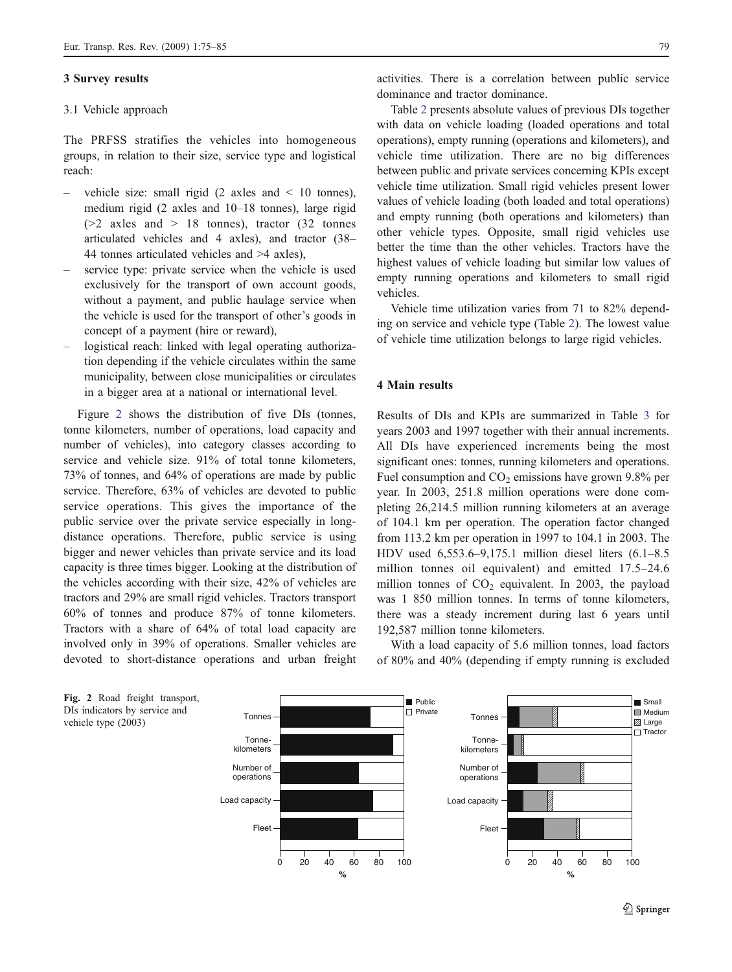#### 3 Survey results

#### 3.1 Vehicle approach

The PRFSS stratifies the vehicles into homogeneous groups, in relation to their size, service type and logistical reach:

- vehicle size: small rigid  $(2 \text{ axes and } < 10 \text{ tonnes}),$ medium rigid (2 axles and 10–18 tonnes), large rigid  $(>= 2$  axles and  $> 18$  tonnes), tractor  $(32$  tonnes articulated vehicles and 4 axles), and tractor (38– 44 tonnes articulated vehicles and >4 axles),
- service type: private service when the vehicle is used exclusively for the transport of own account goods, without a payment, and public haulage service when the vehicle is used for the transport of other's goods in concept of a payment (hire or reward),
- logistical reach: linked with legal operating authorization depending if the vehicle circulates within the same municipality, between close municipalities or circulates in a bigger area at a national or international level.

Figure 2 shows the distribution of five DIs (tonnes, tonne kilometers, number of operations, load capacity and number of vehicles), into category classes according to service and vehicle size. 91% of total tonne kilometers, 73% of tonnes, and 64% of operations are made by public service. Therefore, 63% of vehicles are devoted to public service operations. This gives the importance of the public service over the private service especially in longdistance operations. Therefore, public service is using bigger and newer vehicles than private service and its load capacity is three times bigger. Looking at the distribution of the vehicles according with their size, 42% of vehicles are tractors and 29% are small rigid vehicles. Tractors transport 60% of tonnes and produce 87% of tonne kilometers. Tractors with a share of 64% of total load capacity are involved only in 39% of operations. Smaller vehicles are devoted to short-distance operations and urban freight

activities. There is a correlation between public service dominance and tractor dominance.

Table [2](#page-5-0) presents absolute values of previous DIs together with data on vehicle loading (loaded operations and total operations), empty running (operations and kilometers), and vehicle time utilization. There are no big differences between public and private services concerning KPIs except vehicle time utilization. Small rigid vehicles present lower values of vehicle loading (both loaded and total operations) and empty running (both operations and kilometers) than other vehicle types. Opposite, small rigid vehicles use better the time than the other vehicles. Tractors have the highest values of vehicle loading but similar low values of empty running operations and kilometers to small rigid vehicles.

Vehicle time utilization varies from 71 to 82% depending on service and vehicle type (Table [2\)](#page-5-0). The lowest value of vehicle time utilization belongs to large rigid vehicles.

#### 4 Main results

Results of DIs and KPIs are summarized in Table [3](#page-5-0) for years 2003 and 1997 together with their annual increments. All DIs have experienced increments being the most significant ones: tonnes, running kilometers and operations. Fuel consumption and  $CO<sub>2</sub>$  emissions have grown 9.8% per year. In 2003, 251.8 million operations were done completing 26,214.5 million running kilometers at an average of 104.1 km per operation. The operation factor changed from 113.2 km per operation in 1997 to 104.1 in 2003. The HDV used 6,553.6–9,175.1 million diesel liters (6.1–8.5 million tonnes oil equivalent) and emitted 17.5–24.6 million tonnes of  $CO<sub>2</sub>$  equivalent. In 2003, the payload was 1 850 million tonnes. In terms of tonne kilometers, there was a steady increment during last 6 years until 192,587 million tonne kilometers.

With a load capacity of 5.6 million tonnes, load factors of 80% and 40% (depending if empty running is excluded



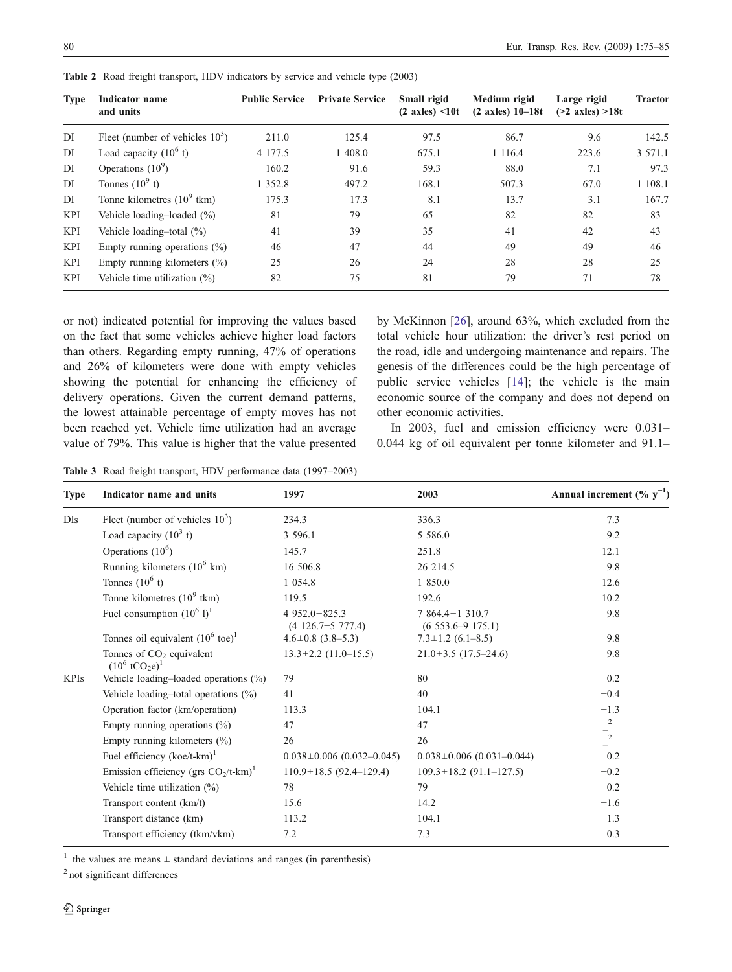| <b>Type</b> | Indicator name<br>and units           | <b>Public Service</b> | <b>Private Service</b> | Small rigid<br>$(2 \text{ axles}) \leq 10t$ | Medium rigid<br>$(2 \text{ axles}) 10 - 18t$ | Large rigid<br>$(>2 \text{ axles}) > 18t$ | <b>Tractor</b> |
|-------------|---------------------------------------|-----------------------|------------------------|---------------------------------------------|----------------------------------------------|-------------------------------------------|----------------|
| DI          | Fleet (number of vehicles $103$ )     | 211.0                 | 125.4                  | 97.5                                        | 86.7                                         | 9.6                                       | 142.5          |
| DI          | Load capacity $(10^6 t)$              | 4 1 7 7 .5            | 1 408.0                | 675.1                                       | 1 1 1 6 .4                                   | 223.6                                     | 3 571.1        |
| DI          | Operations $(10^9)$                   | 160.2                 | 91.6                   | 59.3                                        | 88.0                                         | 7.1                                       | 97.3           |
| DI          | Tonnes $(10^9 t)$                     | 1 3 5 2 . 8           | 497.2                  | 168.1                                       | 507.3                                        | 67.0                                      | 1 108.1        |
| DI          | Tonne kilometres $(10^9 \text{ tkm})$ | 175.3                 | 17.3                   | 8.1                                         | 13.7                                         | 3.1                                       | 167.7          |
| <b>KPI</b>  | Vehicle loading-loaded $(\% )$        | 81                    | 79                     | 65                                          | 82                                           | 82                                        | 83             |
| <b>KPI</b>  | Vehicle loading-total $(\%)$          | 41                    | 39                     | 35                                          | 41                                           | 42                                        | 43             |
| KPI         | Empty running operations $(\% )$      | 46                    | 47                     | 44                                          | 49                                           | 49                                        | 46             |
| KPI         | Empty running kilometers $(\%)$       | 25                    | 26                     | 24                                          | 28                                           | 28                                        | 25             |
| KPI         | Vehicle time utilization $(\%)$       | 82                    | 75                     | 81                                          | 79                                           | 71                                        | 78             |

<span id="page-5-0"></span>Table 2 Road freight transport, HDV indicators by service and vehicle type (2003)

or not) indicated potential for improving the values based on the fact that some vehicles achieve higher load factors than others. Regarding empty running, 47% of operations and 26% of kilometers were done with empty vehicles showing the potential for enhancing the efficiency of delivery operations. Given the current demand patterns, the lowest attainable percentage of empty moves has not been reached yet. Vehicle time utilization had an average value of 79%. This value is higher that the value presented

by McKinnon [[26\]](#page-10-0), around 63%, which excluded from the total vehicle hour utilization: the driver's rest period on the road, idle and undergoing maintenance and repairs. The genesis of the differences could be the high percentage of public service vehicles [\[14](#page-9-0)]; the vehicle is the main economic source of the company and does not depend on other economic activities.

In 2003, fuel and emission efficiency were 0.031– 0.044 kg of oil equivalent per tonne kilometer and 91.1–

Table 3 Road freight transport, HDV performance data (1997–2003)

| <b>Type</b> | Indicator name and units                                                 | 1997                                           | 2003                                     | Annual increment $(\% y^{-1})$ |
|-------------|--------------------------------------------------------------------------|------------------------------------------------|------------------------------------------|--------------------------------|
| $Dis$       | Fleet (number of vehicles $103$ )                                        | 234.3                                          | 336.3                                    | 7.3                            |
|             | Load capacity $(10^3 t)$                                                 | 3 596.1                                        | 5 5 8 6 .0                               | 9.2                            |
|             | Operations $(10^6)$                                                      | 145.7                                          | 251.8                                    | 12.1                           |
|             | Running kilometers $(10^6 \text{ km})$                                   | 16 506.8                                       | 26 214.5                                 | 9.8                            |
|             | Tonnes $(10^6 t)$                                                        | 1 0 5 4 .8                                     | 1 850.0                                  | 12.6                           |
|             | Tonne kilometres $(10^9 \text{ tkm})$                                    | 119.5                                          | 192.6                                    | 10.2                           |
|             | Fuel consumption $(10^6 1)^1$                                            | 4 952.0 $\pm$ 825.3<br>$(4\ 126.7 - 5\ 777.4)$ | 7 864.4 ± 1 310.7<br>$(6553.6 - 9175.1)$ | 9.8                            |
|             | Tonnes oil equivalent $(10^6 \text{ toe})^1$                             | $4.6 \pm 0.8$ (3.8–5.3)                        | $7.3 \pm 1.2$ (6.1–8.5)                  | 9.8                            |
|             | Tonnes of CO <sub>2</sub> equivalent<br>$(10^6 \text{ tCO}_2\text{e})^1$ | $13.3 \pm 2.2$ (11.0-15.5)                     | $21.0 \pm 3.5$ (17.5-24.6)               | 9.8                            |
| <b>KPIs</b> | Vehicle loading-loaded operations (%)                                    | 79                                             | 80                                       | 0.2                            |
|             | Vehicle loading-total operations $(\%)$                                  | 41                                             | 40                                       | $-0.4$                         |
|             | Operation factor (km/operation)                                          | 113.3                                          | 104.1                                    | $-1.3$                         |
|             | Empty running operations $(\% )$                                         | 47                                             | 47                                       | $\overline{c}$                 |
|             | Empty running kilometers $(\% )$                                         | 26                                             | 26                                       | $\frac{1}{2}$                  |
|             | Fuel efficiency $(koe/t-km)^1$                                           | $0.038 \pm 0.006$ (0.032-0.045)                | $0.038 \pm 0.006$ (0.031-0.044)          | $-0.2$                         |
|             | Emission efficiency (grs $CO_2/t$ -km) <sup>1</sup>                      | $110.9 \pm 18.5$ (92.4-129.4)                  | $109.3 \pm 18.2$ (91.1-127.5)            | $-0.2$                         |
|             | Vehicle time utilization $(\%)$                                          | 78                                             | 79                                       | 0.2                            |
|             | Transport content (km/t)                                                 | 15.6                                           | 14.2                                     | $-1.6$                         |
|             | Transport distance (km)                                                  | 113.2                                          | 104.1                                    | $-1.3$                         |
|             | Transport efficiency (tkm/vkm)                                           | 7.2                                            | 7.3                                      | 0.3                            |

<sup>1</sup> the values are means  $\pm$  standard deviations and ranges (in parenthesis)

<sup>2</sup> not significant differences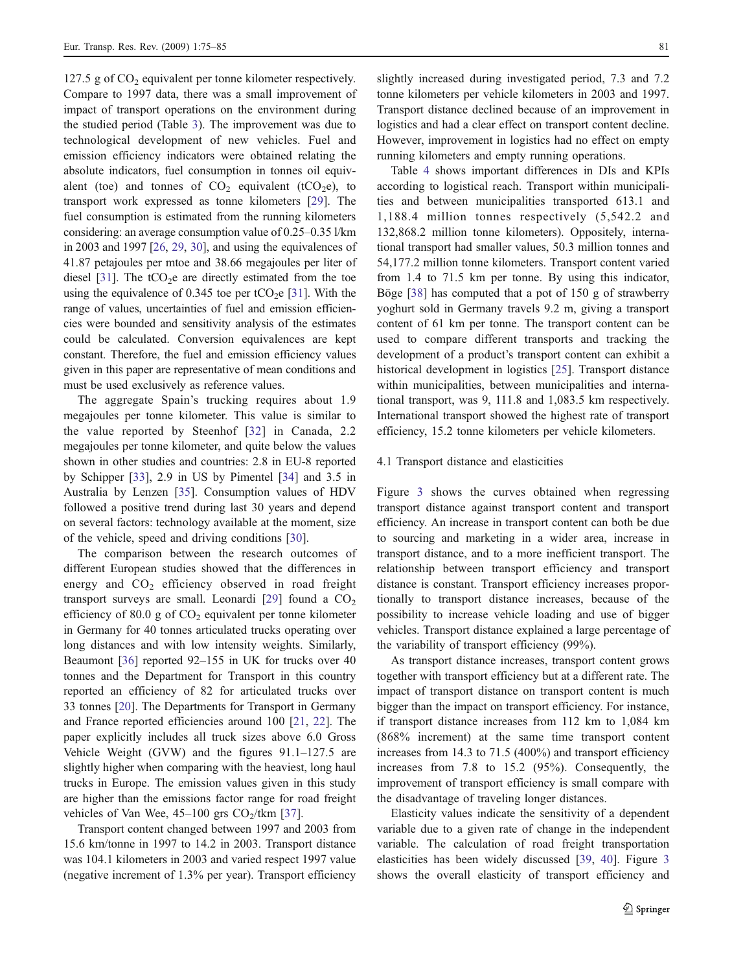127.5 g of  $CO<sub>2</sub>$  equivalent per tonne kilometer respectively. Compare to 1997 data, there was a small improvement of impact of transport operations on the environment during the studied period (Table [3](#page-5-0)). The improvement was due to technological development of new vehicles. Fuel and emission efficiency indicators were obtained relating the absolute indicators, fuel consumption in tonnes oil equivalent (toe) and tonnes of  $CO<sub>2</sub>$  equivalent (tCO<sub>2</sub>e), to transport work expressed as tonne kilometers [\[29](#page-10-0)]. The fuel consumption is estimated from the running kilometers considering: an average consumption value of 0.25–0.35 l/km in 2003 and 1997 [[26,](#page-10-0) [29,](#page-10-0) [30\]](#page-10-0), and using the equivalences of 41.87 petajoules per mtoe and 38.66 megajoules per liter of diesel [\[31](#page-10-0)]. The  $tCO<sub>2</sub>e$  are directly estimated from the toe using the equivalence of 0.345 toe per tCO<sub>2</sub>e [\[31](#page-10-0)]. With the range of values, uncertainties of fuel and emission efficiencies were bounded and sensitivity analysis of the estimates could be calculated. Conversion equivalences are kept constant. Therefore, the fuel and emission efficiency values given in this paper are representative of mean conditions and must be used exclusively as reference values.

The aggregate Spain's trucking requires about 1.9 megajoules per tonne kilometer. This value is similar to the value reported by Steenhof [[32](#page-10-0)] in Canada, 2.2 megajoules per tonne kilometer, and quite below the values shown in other studies and countries: 2.8 in EU-8 reported by Schipper [\[33](#page-10-0)], 2.9 in US by Pimentel [[34\]](#page-10-0) and 3.5 in Australia by Lenzen [\[35](#page-10-0)]. Consumption values of HDV followed a positive trend during last 30 years and depend on several factors: technology available at the moment, size of the vehicle, speed and driving conditions [[30\]](#page-10-0).

The comparison between the research outcomes of different European studies showed that the differences in energy and  $CO<sub>2</sub>$  efficiency observed in road freight transport surveys are small. Leonardi [[29\]](#page-10-0) found a  $CO<sub>2</sub>$ efficiency of 80.0 g of  $CO<sub>2</sub>$  equivalent per tonne kilometer in Germany for 40 tonnes articulated trucks operating over long distances and with low intensity weights. Similarly, Beaumont [\[36](#page-10-0)] reported 92–155 in UK for trucks over 40 tonnes and the Department for Transport in this country reported an efficiency of 82 for articulated trucks over 33 tonnes [[20\]](#page-9-0). The Departments for Transport in Germany and France reported efficiencies around 100 [[21,](#page-9-0) [22\]](#page-9-0). The paper explicitly includes all truck sizes above 6.0 Gross Vehicle Weight (GVW) and the figures 91.1–127.5 are slightly higher when comparing with the heaviest, long haul trucks in Europe. The emission values given in this study are higher than the emissions factor range for road freight vehicles of Van Wee,  $45-100$  grs  $CO<sub>2</sub>/km$  [[37](#page-10-0)].

Transport content changed between 1997 and 2003 from 15.6 km/tonne in 1997 to 14.2 in 2003. Transport distance was 104.1 kilometers in 2003 and varied respect 1997 value (negative increment of 1.3% per year). Transport efficiency slightly increased during investigated period, 7.3 and 7.2 tonne kilometers per vehicle kilometers in 2003 and 1997. Transport distance declined because of an improvement in logistics and had a clear effect on transport content decline. However, improvement in logistics had no effect on empty running kilometers and empty running operations.

Table [4](#page-7-0) shows important differences in DIs and KPIs according to logistical reach. Transport within municipalities and between municipalities transported 613.1 and 1,188.4 million tonnes respectively (5,542.2 and 132,868.2 million tonne kilometers). Oppositely, international transport had smaller values, 50.3 million tonnes and 54,177.2 million tonne kilometers. Transport content varied from 1.4 to 71.5 km per tonne. By using this indicator, Böge [\[38](#page-10-0)] has computed that a pot of 150 g of strawberry yoghurt sold in Germany travels 9.2 m, giving a transport content of 61 km per tonne. The transport content can be used to compare different transports and tracking the development of a product's transport content can exhibit a historical development in logistics [[25\]](#page-10-0). Transport distance within municipalities, between municipalities and international transport, was 9, 111.8 and 1,083.5 km respectively. International transport showed the highest rate of transport efficiency, 15.2 tonne kilometers per vehicle kilometers.

#### 4.1 Transport distance and elasticities

Figure [3](#page-7-0) shows the curves obtained when regressing transport distance against transport content and transport efficiency. An increase in transport content can both be due to sourcing and marketing in a wider area, increase in transport distance, and to a more inefficient transport. The relationship between transport efficiency and transport distance is constant. Transport efficiency increases proportionally to transport distance increases, because of the possibility to increase vehicle loading and use of bigger vehicles. Transport distance explained a large percentage of the variability of transport efficiency (99%).

As transport distance increases, transport content grows together with transport efficiency but at a different rate. The impact of transport distance on transport content is much bigger than the impact on transport efficiency. For instance, if transport distance increases from 112 km to 1,084 km (868% increment) at the same time transport content increases from 14.3 to 71.5 (400%) and transport efficiency increases from 7.8 to 15.2 (95%). Consequently, the improvement of transport efficiency is small compare with the disadvantage of traveling longer distances.

Elasticity values indicate the sensitivity of a dependent variable due to a given rate of change in the independent variable. The calculation of road freight transportation elasticities has been widely discussed [[39,](#page-10-0) [40\]](#page-10-0). Figure [3](#page-7-0) shows the overall elasticity of transport efficiency and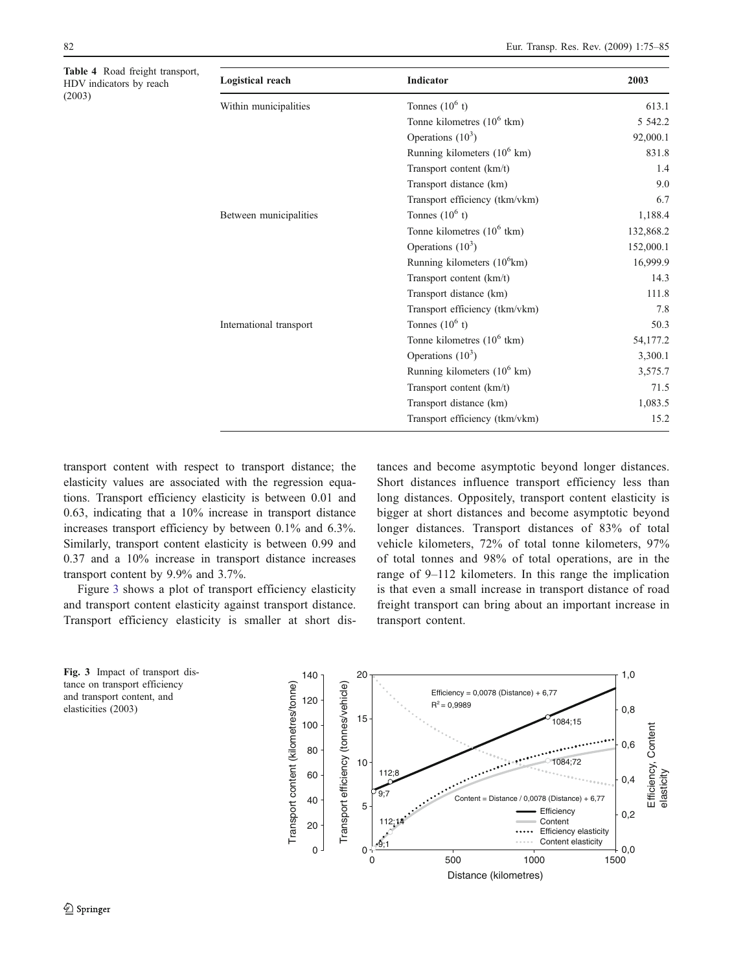<span id="page-7-0"></span>Table 4 Road freight transport, HDV indicators by reach (2003)

| Logistical reach        | Indicator                              | 2003      |
|-------------------------|----------------------------------------|-----------|
| Within municipalities   | Tonnes $(10^6 t)$                      | 613.1     |
|                         | Tonne kilometres $(10^6$ tkm)          | 5 5 4 2.2 |
|                         | Operations $(10^3)$                    | 92,000.1  |
|                         | Running kilometers $(10^6 \text{ km})$ | 831.8     |
|                         | Transport content (km/t)               | 1.4       |
|                         | Transport distance (km)                | 9.0       |
|                         | Transport efficiency (tkm/vkm)         | 6.7       |
| Between municipalities  | Tonnes $(10^6 t)$                      | 1,188.4   |
|                         | Tonne kilometres $(10^6 \text{ tkm})$  | 132,868.2 |
|                         | Operations $(10^3)$                    | 152,000.1 |
|                         | Running kilometers $(10^6 \text{km})$  | 16,999.9  |
|                         | Transport content (km/t)               | 14.3      |
|                         | Transport distance (km)                | 111.8     |
|                         | Transport efficiency (tkm/vkm)         | 7.8       |
| International transport | Tonnes $(10^6 t)$                      | 50.3      |
|                         | Tonne kilometres $(10^6 \text{ tkm})$  | 54,177.2  |
|                         | Operations $(10^3)$                    | 3,300.1   |
|                         | Running kilometers $(10^6 \text{ km})$ | 3,575.7   |
|                         | Transport content (km/t)               | 71.5      |
|                         | Transport distance (km)                | 1,083.5   |
|                         | Transport efficiency (tkm/vkm)         | 15.2      |

transport content with respect to transport distance; the elasticity values are associated with the regression equations. Transport efficiency elasticity is between 0.01 and 0.63, indicating that a 10% increase in transport distance increases transport efficiency by between 0.1% and 6.3%. Similarly, transport content elasticity is between 0.99 and 0.37 and a 10% increase in transport distance increases transport content by 9.9% and 3.7%.

Figure 3 shows a plot of transport efficiency elasticity and transport content elasticity against transport distance. Transport efficiency elasticity is smaller at short dis-

tances and become asymptotic beyond longer distances. Short distances influence transport efficiency less than long distances. Oppositely, transport content elasticity is bigger at short distances and become asymptotic beyond longer distances. Transport distances of 83% of total vehicle kilometers, 72% of total tonne kilometers, 97% of total tonnes and 98% of total operations, are in the range of 9–112 kilometers. In this range the implication is that even a small increase in transport distance of road freight transport can bring about an important increase in transport content.

Fig. 3 Impact of transport distance on transport efficiency and transport content, and elasticities (2003)

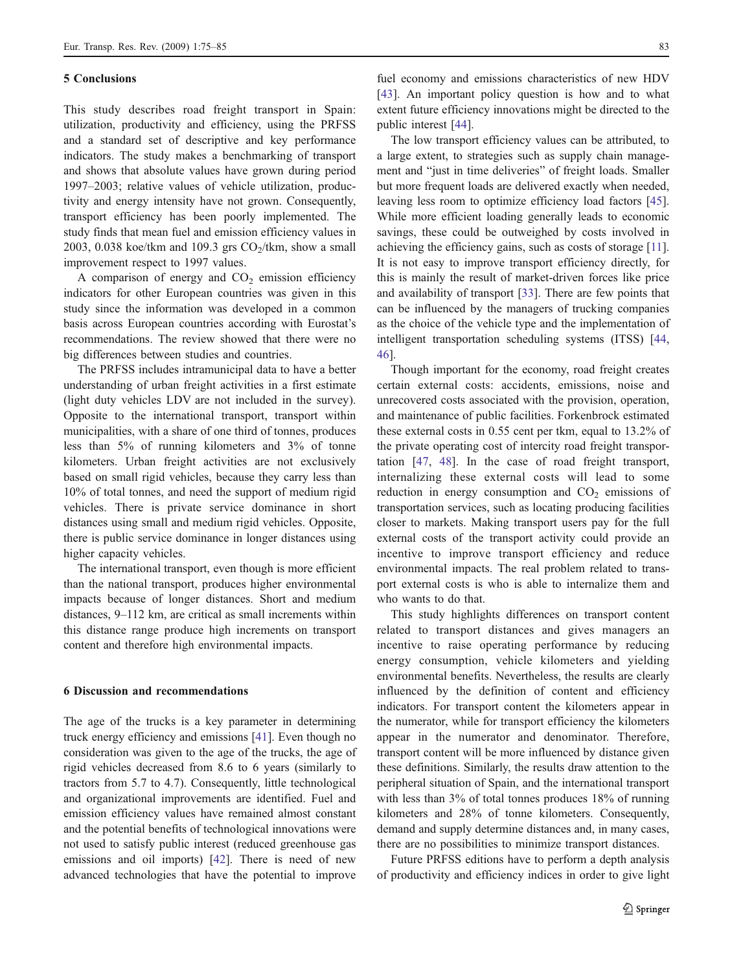## 5 Conclusions

This study describes road freight transport in Spain: utilization, productivity and efficiency, using the PRFSS and a standard set of descriptive and key performance indicators. The study makes a benchmarking of transport and shows that absolute values have grown during period 1997–2003; relative values of vehicle utilization, productivity and energy intensity have not grown. Consequently, transport efficiency has been poorly implemented. The study finds that mean fuel and emission efficiency values in 2003, 0.038 koe/tkm and 109.3 grs  $CO_2$ /tkm, show a small improvement respect to 1997 values.

A comparison of energy and  $CO<sub>2</sub>$  emission efficiency indicators for other European countries was given in this study since the information was developed in a common basis across European countries according with Eurostat's recommendations. The review showed that there were no big differences between studies and countries.

The PRFSS includes intramunicipal data to have a better understanding of urban freight activities in a first estimate (light duty vehicles LDV are not included in the survey). Opposite to the international transport, transport within municipalities, with a share of one third of tonnes, produces less than 5% of running kilometers and 3% of tonne kilometers. Urban freight activities are not exclusively based on small rigid vehicles, because they carry less than 10% of total tonnes, and need the support of medium rigid vehicles. There is private service dominance in short distances using small and medium rigid vehicles. Opposite, there is public service dominance in longer distances using higher capacity vehicles.

The international transport, even though is more efficient than the national transport, produces higher environmental impacts because of longer distances. Short and medium distances, 9–112 km, are critical as small increments within this distance range produce high increments on transport content and therefore high environmental impacts.

#### 6 Discussion and recommendations

The age of the trucks is a key parameter in determining truck energy efficiency and emissions [[41\]](#page-10-0). Even though no consideration was given to the age of the trucks, the age of rigid vehicles decreased from 8.6 to 6 years (similarly to tractors from 5.7 to 4.7). Consequently, little technological and organizational improvements are identified. Fuel and emission efficiency values have remained almost constant and the potential benefits of technological innovations were not used to satisfy public interest (reduced greenhouse gas emissions and oil imports) [[42\]](#page-10-0). There is need of new advanced technologies that have the potential to improve

fuel economy and emissions characteristics of new HDV [[43](#page-10-0)]. An important policy question is how and to what extent future efficiency innovations might be directed to the public interest [\[44](#page-10-0)].

The low transport efficiency values can be attributed, to a large extent, to strategies such as supply chain management and "just in time deliveries" of freight loads. Smaller but more frequent loads are delivered exactly when needed, leaving less room to optimize efficiency load factors [\[45](#page-10-0)]. While more efficient loading generally leads to economic savings, these could be outweighed by costs involved in achieving the efficiency gains, such as costs of storage [[11](#page-9-0)]. It is not easy to improve transport efficiency directly, for this is mainly the result of market-driven forces like price and availability of transport [[33\]](#page-10-0). There are few points that can be influenced by the managers of trucking companies as the choice of the vehicle type and the implementation of intelligent transportation scheduling systems (ITSS) [\[44](#page-10-0), [46\]](#page-10-0).

Though important for the economy, road freight creates certain external costs: accidents, emissions, noise and unrecovered costs associated with the provision, operation, and maintenance of public facilities. Forkenbrock estimated these external costs in 0.55 cent per tkm, equal to 13.2% of the private operating cost of intercity road freight transportation [[47,](#page-10-0) [48\]](#page-10-0). In the case of road freight transport, internalizing these external costs will lead to some reduction in energy consumption and  $CO<sub>2</sub>$  emissions of transportation services, such as locating producing facilities closer to markets. Making transport users pay for the full external costs of the transport activity could provide an incentive to improve transport efficiency and reduce environmental impacts. The real problem related to transport external costs is who is able to internalize them and who wants to do that.

This study highlights differences on transport content related to transport distances and gives managers an incentive to raise operating performance by reducing energy consumption, vehicle kilometers and yielding environmental benefits. Nevertheless, the results are clearly influenced by the definition of content and efficiency indicators. For transport content the kilometers appear in the numerator, while for transport efficiency the kilometers appear in the numerator and denominator. Therefore, transport content will be more influenced by distance given these definitions. Similarly, the results draw attention to the peripheral situation of Spain, and the international transport with less than 3% of total tonnes produces 18% of running kilometers and 28% of tonne kilometers. Consequently, demand and supply determine distances and, in many cases, there are no possibilities to minimize transport distances.

Future PRFSS editions have to perform a depth analysis of productivity and efficiency indices in order to give light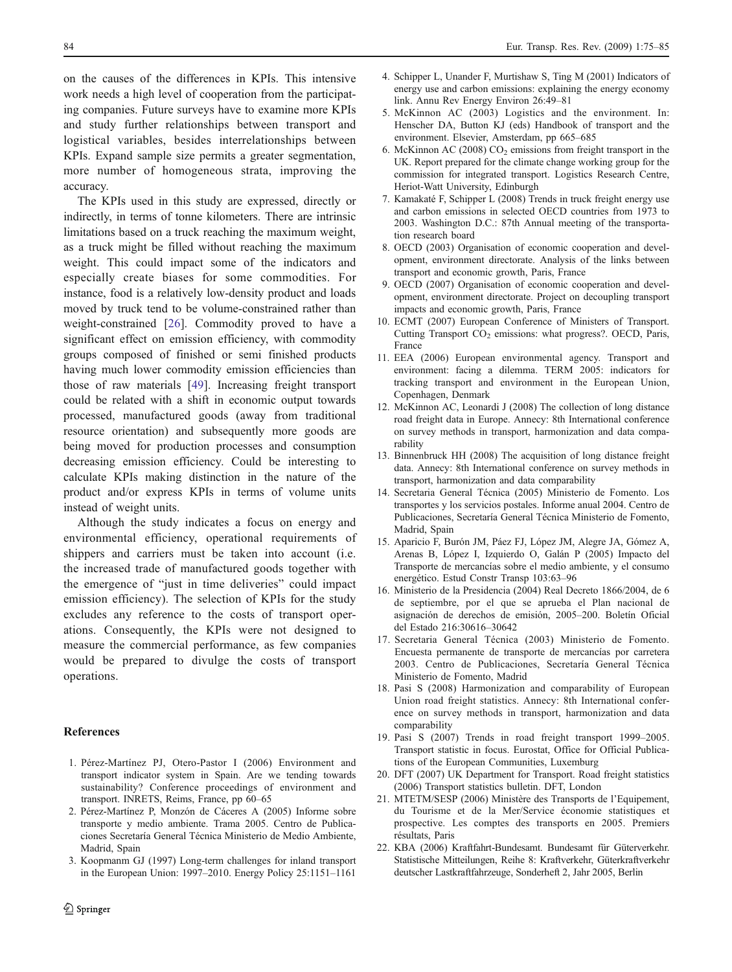<span id="page-9-0"></span>on the causes of the differences in KPIs. This intensive work needs a high level of cooperation from the participating companies. Future surveys have to examine more KPIs and study further relationships between transport and logistical variables, besides interrelationships between KPIs. Expand sample size permits a greater segmentation, more number of homogeneous strata, improving the accuracy.

The KPIs used in this study are expressed, directly or indirectly, in terms of tonne kilometers. There are intrinsic limitations based on a truck reaching the maximum weight, as a truck might be filled without reaching the maximum weight. This could impact some of the indicators and especially create biases for some commodities. For instance, food is a relatively low-density product and loads moved by truck tend to be volume-constrained rather than weight-constrained [[26\]](#page-10-0). Commodity proved to have a significant effect on emission efficiency, with commodity groups composed of finished or semi finished products having much lower commodity emission efficiencies than those of raw materials [[49\]](#page-10-0). Increasing freight transport could be related with a shift in economic output towards processed, manufactured goods (away from traditional resource orientation) and subsequently more goods are being moved for production processes and consumption decreasing emission efficiency. Could be interesting to calculate KPIs making distinction in the nature of the product and/or express KPIs in terms of volume units instead of weight units.

Although the study indicates a focus on energy and environmental efficiency, operational requirements of shippers and carriers must be taken into account (i.e. the increased trade of manufactured goods together with the emergence of "just in time deliveries" could impact emission efficiency). The selection of KPIs for the study excludes any reference to the costs of transport operations. Consequently, the KPIs were not designed to measure the commercial performance, as few companies would be prepared to divulge the costs of transport operations.

#### References

- 1. Pérez-Martínez PJ, Otero-Pastor I (2006) Environment and transport indicator system in Spain. Are we tending towards sustainability? Conference proceedings of environment and transport. INRETS, Reims, France, pp 60–65
- 2. Pérez-Martínez P, Monzón de Cáceres A (2005) Informe sobre transporte y medio ambiente. Trama 2005. Centro de Publicaciones Secretaría General Técnica Ministerio de Medio Ambiente, Madrid, Spain
- 3. Koopmanm GJ (1997) Long-term challenges for inland transport in the European Union: 1997–2010. Energy Policy 25:1151–1161
- 4. Schipper L, Unander F, Murtishaw S, Ting M (2001) Indicators of energy use and carbon emissions: explaining the energy economy link. Annu Rev Energy Environ 26:49–81
- 5. McKinnon AC (2003) Logistics and the environment. In: Henscher DA, Button KJ (eds) Handbook of transport and the environment. Elsevier, Amsterdam, pp 665–685
- 6. McKinnon AC (2008)  $CO<sub>2</sub>$  emissions from freight transport in the UK. Report prepared for the climate change working group for the commission for integrated transport. Logistics Research Centre, Heriot-Watt University, Edinburgh
- 7. Kamakaté F, Schipper L (2008) Trends in truck freight energy use and carbon emissions in selected OECD countries from 1973 to 2003. Washington D.C.: 87th Annual meeting of the transportation research board
- 8. OECD (2003) Organisation of economic cooperation and development, environment directorate. Analysis of the links between transport and economic growth, Paris, France
- 9. OECD (2007) Organisation of economic cooperation and development, environment directorate. Project on decoupling transport impacts and economic growth, Paris, France
- 10. ECMT (2007) European Conference of Ministers of Transport. Cutting Transport  $CO<sub>2</sub>$  emissions: what progress?. OECD, Paris, France
- 11. EEA (2006) European environmental agency. Transport and environment: facing a dilemma. TERM 2005: indicators for tracking transport and environment in the European Union, Copenhagen, Denmark
- 12. McKinnon AC, Leonardi J (2008) The collection of long distance road freight data in Europe. Annecy: 8th International conference on survey methods in transport, harmonization and data comparability
- 13. Binnenbruck HH (2008) The acquisition of long distance freight data. Annecy: 8th International conference on survey methods in transport, harmonization and data comparability
- 14. Secretaria General Técnica (2005) Ministerio de Fomento. Los transportes y los servicios postales. Informe anual 2004. Centro de Publicaciones, Secretaría General Técnica Ministerio de Fomento, Madrid, Spain
- 15. Aparicio F, Burón JM, Páez FJ, López JM, Alegre JA, Gómez A, Arenas B, López I, Izquierdo O, Galán P (2005) Impacto del Transporte de mercancías sobre el medio ambiente, y el consumo energético. Estud Constr Transp 103:63–96
- 16. Ministerio de la Presidencia (2004) Real Decreto 1866/2004, de 6 de septiembre, por el que se aprueba el Plan nacional de asignación de derechos de emisión, 2005–200. Boletín Oficial del Estado 216:30616–30642
- 17. Secretaria General Técnica (2003) Ministerio de Fomento. Encuesta permanente de transporte de mercancías por carretera 2003. Centro de Publicaciones, Secretaría General Técnica Ministerio de Fomento, Madrid
- 18. Pasi S (2008) Harmonization and comparability of European Union road freight statistics. Annecy: 8th International conference on survey methods in transport, harmonization and data comparability
- 19. Pasi S (2007) Trends in road freight transport 1999–2005. Transport statistic in focus. Eurostat, Office for Official Publications of the European Communities, Luxemburg
- 20. DFT (2007) UK Department for Transport. Road freight statistics (2006) Transport statistics bulletin. DFT, London
- 21. MTETM/SESP (2006) Ministère des Transports de l'Equipement, du Tourisme et de la Mer/Service économie statistiques et prospective. Les comptes des transports en 2005. Premiers résultats, Paris
- 22. KBA (2006) Kraftfahrt-Bundesamt. Bundesamt für Güterverkehr. Statistische Mitteilungen, Reihe 8: Kraftverkehr, Güterkraftverkehr deutscher Lastkraftfahrzeuge, Sonderheft 2, Jahr 2005, Berlin